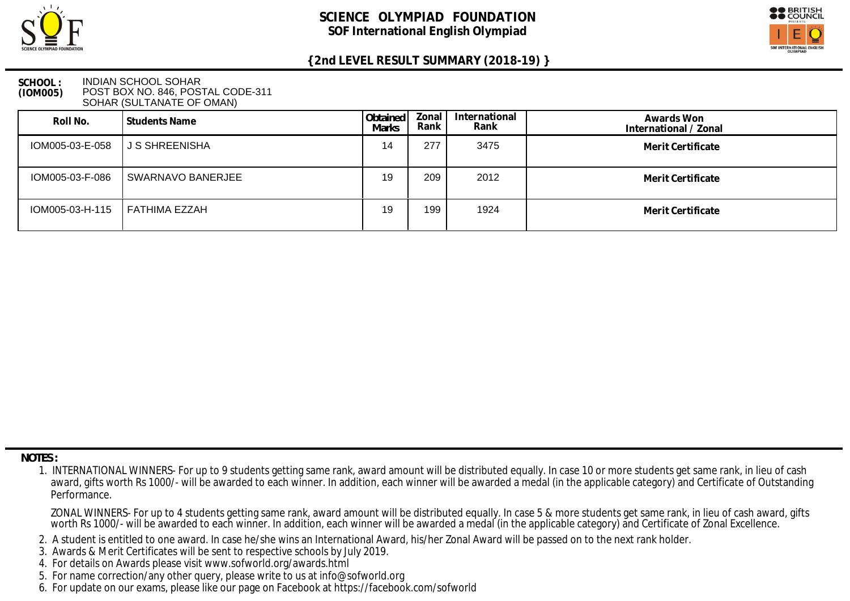



#### **SCHOOL : (IOM005)** INDIAN SCHOOL SOHAR POST BOX NO. 846, POSTAL CODE-311 SOHAR (SULTANATE OF OMAN)

| Roll No.        | Students Name     | Obtained<br>Marks | Zonal<br>Rank | International<br>Rank | Awards Won<br>International / Zonal |
|-----------------|-------------------|-------------------|---------------|-----------------------|-------------------------------------|
| IOM005-03-E-058 | I J S SHREENISHA  | 14                | 277           | 3475                  | Merit Certificate                   |
| IOM005-03-F-086 | SWARNAVO BANERJEE | 19                | 209           | 2012                  | Merit Certificate                   |
| IOM005-03-H-115 | FATHIMA EZZAH     | 19                | 199           | 1924                  | Merit Certificate                   |

 **NOTES :**

- 2. A student is entitled to one award. In case he/she wins an International Award, his/her Zonal Award will be passed on to the next rank holder.
- 3. Awards & Merit Certificates will be sent to respective schools by July 2019.
- 4. For details on Awards please visit www.sofworld.org/awards.html
- 5. For name correction/any other query, please write to us at info@sofworld.org
- 6. For update on our exams, please like our page on Facebook at https://facebook.com/sofworld

 <sup>1.</sup> INTERNATIONAL WINNERS- For up to 9 students getting same rank, award amount will be distributed equally. In case 10 or more students get same rank, in lieu of cash award, gifts worth Rs 1000/- will be awarded to each winner. In addition, each winner will be awarded a medal (in the applicable category) and Certificate of Outstanding Performance.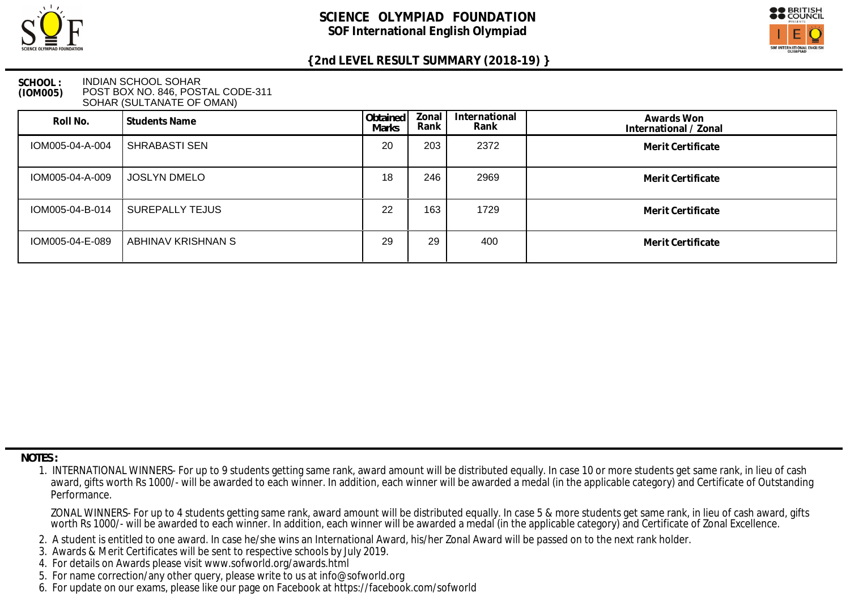



### **SCHOOL : (IOM005)** INDIAN SCHOOL SOHAR POST BOX NO. 846, POSTAL CODE-311 SOHAR (SULTANATE OF OMAN)

| Roll No.        | Students Name        | Obtained<br>Marks | Zonal<br>Rank | International<br>Rank | Awards Won<br>International / Zonal |
|-----------------|----------------------|-------------------|---------------|-----------------------|-------------------------------------|
| IOM005-04-A-004 | <b>SHRABASTI SEN</b> | 20                | 203           | 2372                  | Merit Certificate                   |
| IOM005-04-A-009 | <b>JOSLYN DMELO</b>  | 18                | 246           | 2969                  | Merit Certificate                   |
| IOM005-04-B-014 | SUREPALLY TEJUS      | 22                | 163           | 1729                  | Merit Certificate                   |
| IOM005-04-E-089 | ABHINAV KRISHNAN S   | 29                | 29            | 400                   | Merit Certificate                   |

 **NOTES :**

- 2. A student is entitled to one award. In case he/she wins an International Award, his/her Zonal Award will be passed on to the next rank holder.
- 3. Awards & Merit Certificates will be sent to respective schools by July 2019.
- 4. For details on Awards please visit www.sofworld.org/awards.html
- 5. For name correction/any other query, please write to us at info@sofworld.org
- 6. For update on our exams, please like our page on Facebook at https://facebook.com/sofworld

 <sup>1.</sup> INTERNATIONAL WINNERS- For up to 9 students getting same rank, award amount will be distributed equally. In case 10 or more students get same rank, in lieu of cash award, gifts worth Rs 1000/- will be awarded to each winner. In addition, each winner will be awarded a medal (in the applicable category) and Certificate of Outstanding Performance.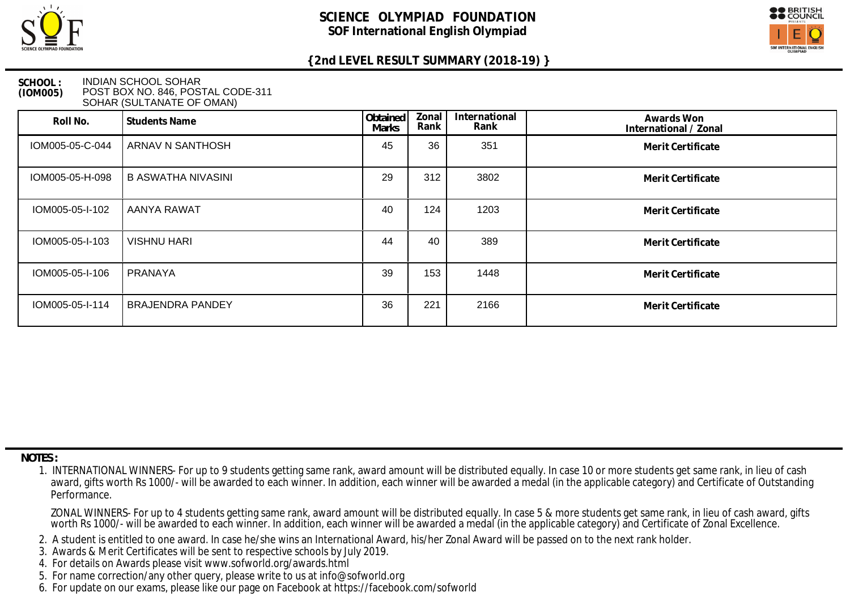



#### **SCHOOL : (IOM005)** INDIAN SCHOOL SOHAR POST BOX NO. 846, POSTAL CODE-311 SOHAR (SULTANATE OF OMAN)

| Roll No.        | <b>Students Name</b>    | Obtained<br><b>Marks</b> | Zonal<br>Rank | International<br>Rank | Awards Won<br>International / Zonal |
|-----------------|-------------------------|--------------------------|---------------|-----------------------|-------------------------------------|
| IOM005-05-C-044 | ARNAV N SANTHOSH        | 45                       | 36            | 351                   | Merit Certificate                   |
| IOM005-05-H-098 | B ASWATHA NIVASINI      | 29                       | 312           | 3802                  | Merit Certificate                   |
| IOM005-05-I-102 | <b>AANYA RAWAT</b>      | 40                       | 124           | 1203                  | Merit Certificate                   |
| IOM005-05-I-103 | <b>VISHNU HARI</b>      | 44                       | 40            | 389                   | Merit Certificate                   |
| IOM005-05-I-106 | PRANAYA                 | 39                       | 153           | 1448                  | Merit Certificate                   |
| IOM005-05-I-114 | <b>BRAJENDRA PANDEY</b> | 36                       | 221           | 2166                  | Merit Certificate                   |

 **NOTES :**

- 2. A student is entitled to one award. In case he/she wins an International Award, his/her Zonal Award will be passed on to the next rank holder.
- 3. Awards & Merit Certificates will be sent to respective schools by July 2019.
- 4. For details on Awards please visit www.sofworld.org/awards.html
- 5. For name correction/any other query, please write to us at info@sofworld.org
- 6. For update on our exams, please like our page on Facebook at https://facebook.com/sofworld

 <sup>1.</sup> INTERNATIONAL WINNERS- For up to 9 students getting same rank, award amount will be distributed equally. In case 10 or more students get same rank, in lieu of cash award, gifts worth Rs 1000/- will be awarded to each winner. In addition, each winner will be awarded a medal (in the applicable category) and Certificate of Outstanding Performance.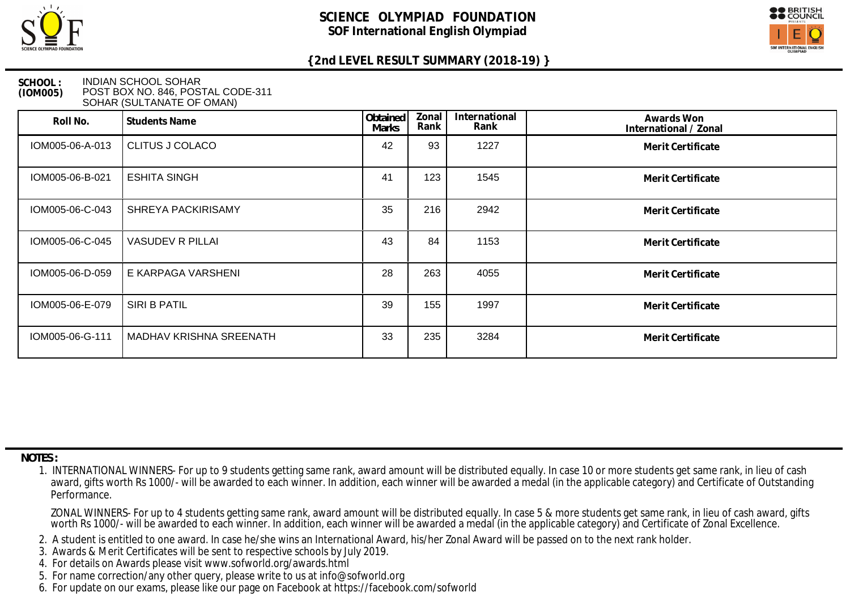



### **SCHOOL : (IOM005)** INDIAN SCHOOL SOHAR POST BOX NO. 846, POSTAL CODE-311 SOHAR (SULTANATE OF OMAN)

| Roll No.        | <b>Students Name</b>      | Obtained<br><b>Marks</b> | Zonal<br>Rank | International<br>Rank | Awards Won<br>International / Zonal |
|-----------------|---------------------------|--------------------------|---------------|-----------------------|-------------------------------------|
| IOM005-06-A-013 | <b>CLITUS J COLACO</b>    | 42                       | 93            | 1227                  | Merit Certificate                   |
| IOM005-06-B-021 | <b>ESHITA SINGH</b>       | 41                       | 123           | 1545                  | Merit Certificate                   |
| IOM005-06-C-043 | <b>SHREYA PACKIRISAMY</b> | 35                       | 216           | 2942                  | Merit Certificate                   |
| IOM005-06-C-045 | <b>VASUDEV R PILLAI</b>   | 43                       | 84            | 1153                  | Merit Certificate                   |
| IOM005-06-D-059 | E KARPAGA VARSHENI        | 28                       | 263           | 4055                  | Merit Certificate                   |
| IOM005-06-E-079 | SIRI B PATIL              | 39                       | 155           | 1997                  | Merit Certificate                   |
| IOM005-06-G-111 | MADHAV KRISHNA SREENATH   | 33                       | 235           | 3284                  | Merit Certificate                   |

 **NOTES :**

- 2. A student is entitled to one award. In case he/she wins an International Award, his/her Zonal Award will be passed on to the next rank holder.
- 3. Awards & Merit Certificates will be sent to respective schools by July 2019.
- 4. For details on Awards please visit www.sofworld.org/awards.html
- 5. For name correction/any other query, please write to us at info@sofworld.org
- 6. For update on our exams, please like our page on Facebook at https://facebook.com/sofworld

 <sup>1.</sup> INTERNATIONAL WINNERS- For up to 9 students getting same rank, award amount will be distributed equally. In case 10 or more students get same rank, in lieu of cash award, gifts worth Rs 1000/- will be awarded to each winner. In addition, each winner will be awarded a medal (in the applicable category) and Certificate of Outstanding Performance.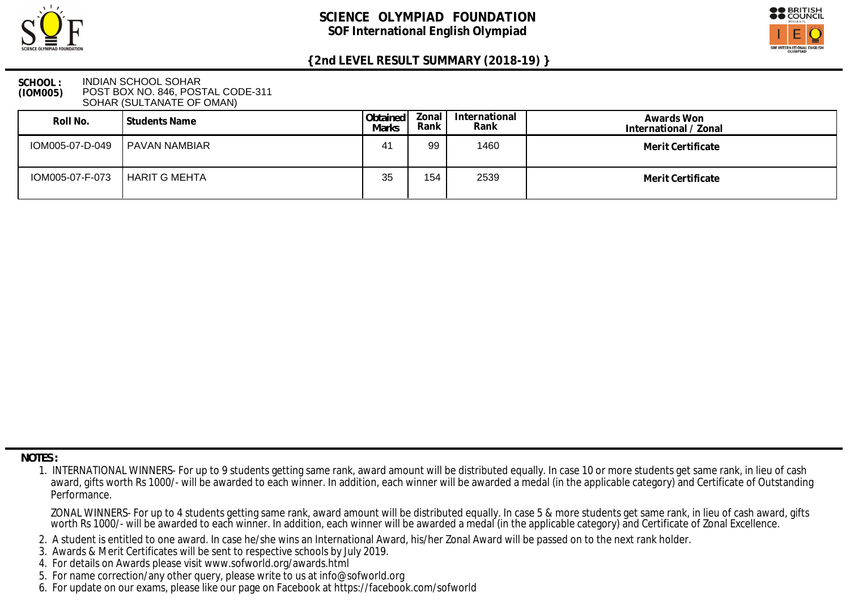



### **SCHOOL : (IOM005)** INDIAN SCHOOL SOHAR POST BOX NO. 846, POSTAL CODE-311 SOHAR (SULTANATE OF OMAN)

| Roll No.        | l Students Name | Obtained  <br>Marks | Zonal  <br>Rank | International<br>Rank | Awards Won<br>International / Zonal |
|-----------------|-----------------|---------------------|-----------------|-----------------------|-------------------------------------|
| IOM005-07-D-049 | PAVAN NAMBIAR   | 41                  | 99              | 1460                  | Merit Certificate                   |
| IOM005-07-F-073 | HARIT G MEHTA   | 35                  | 154             | 2539                  | Merit Certificate                   |

 **NOTES :**

- 2. A student is entitled to one award. In case he/she wins an International Award, his/her Zonal Award will be passed on to the next rank holder.
- 3. Awards & Merit Certificates will be sent to respective schools by July 2019.
- 4. For details on Awards please visit www.sofworld.org/awards.html
- 5. For name correction/any other query, please write to us at info@sofworld.org
- 6. For update on our exams, please like our page on Facebook at https://facebook.com/sofworld

 <sup>1.</sup> INTERNATIONAL WINNERS- For up to 9 students getting same rank, award amount will be distributed equally. In case 10 or more students get same rank, in lieu of cash award, gifts worth Rs 1000/- will be awarded to each winner. In addition, each winner will be awarded a medal (in the applicable category) and Certificate of Outstanding Performance.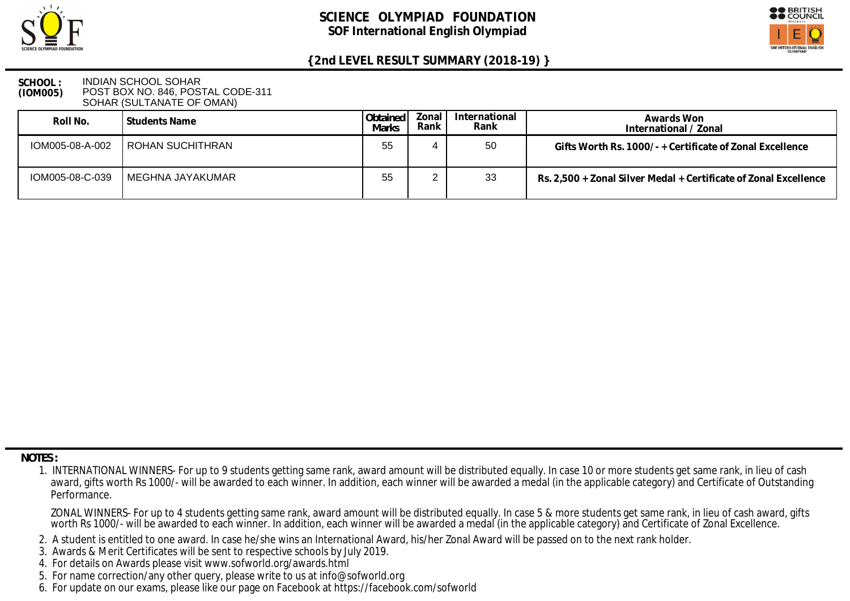



### **SCHOOL : (IOM005)** INDIAN SCHOOL SOHAR POST BOX NO. 846, POSTAL CODE-311 SOHAR (SULTANATE OF OMAN)

| Roll No.        | l Students Name           | l Obtained I<br>Marks | Zonal '<br>Rank | International<br>Rank | Awards Won<br>International / Zonal                              |
|-----------------|---------------------------|-----------------------|-----------------|-----------------------|------------------------------------------------------------------|
| IOM005-08-A-002 | <b>I ROHAN SUCHITHRAN</b> | 55                    |                 | 50                    | Gifts Worth Rs. 1000/- + Certificate of Zonal Excellence         |
| IOM005-08-C-039 | MEGHNA JAYAKUMAR          | 55                    |                 | 33                    | Rs. 2,500 + Zonal Silver Medal + Certificate of Zonal Excellence |

 **NOTES :**

- 2. A student is entitled to one award. In case he/she wins an International Award, his/her Zonal Award will be passed on to the next rank holder.
- 3. Awards & Merit Certificates will be sent to respective schools by July 2019.
- 4. For details on Awards please visit www.sofworld.org/awards.html
- 5. For name correction/any other query, please write to us at info@sofworld.org
- 6. For update on our exams, please like our page on Facebook at https://facebook.com/sofworld

 <sup>1.</sup> INTERNATIONAL WINNERS- For up to 9 students getting same rank, award amount will be distributed equally. In case 10 or more students get same rank, in lieu of cash award, gifts worth Rs 1000/- will be awarded to each winner. In addition, each winner will be awarded a medal (in the applicable category) and Certificate of Outstanding Performance.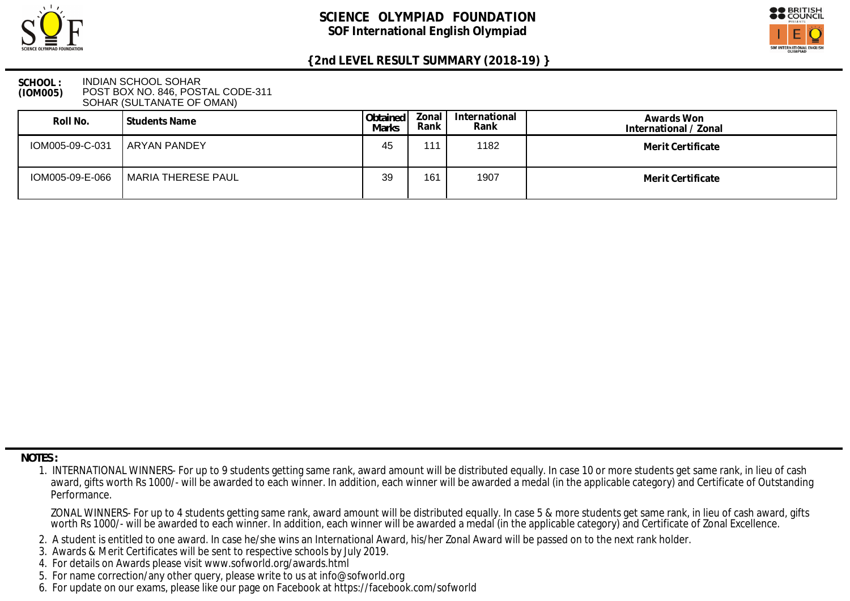



### **SCHOOL : (IOM005)** INDIAN SCHOOL SOHAR POST BOX NO. 846, POSTAL CODE-311 SOHAR (SULTANATE OF OMAN)

| Roll No.        | l Students Name    | Obtained<br>Marks | Zonal<br>Rank I | International<br>Rank | Awards Won<br>International / Zonal |
|-----------------|--------------------|-------------------|-----------------|-----------------------|-------------------------------------|
| IOM005-09-C-031 | ARYAN PANDEY       | 45                | 111.            | 1182                  | Merit Certificate                   |
| IOM005-09-E-066 | MARIA THERESE PAUL | 39                | 161             | 1907                  | Merit Certificate                   |

 **NOTES :**

- 2. A student is entitled to one award. In case he/she wins an International Award, his/her Zonal Award will be passed on to the next rank holder.
- 3. Awards & Merit Certificates will be sent to respective schools by July 2019.
- 4. For details on Awards please visit www.sofworld.org/awards.html
- 5. For name correction/any other query, please write to us at info@sofworld.org
- 6. For update on our exams, please like our page on Facebook at https://facebook.com/sofworld

 <sup>1.</sup> INTERNATIONAL WINNERS- For up to 9 students getting same rank, award amount will be distributed equally. In case 10 or more students get same rank, in lieu of cash award, gifts worth Rs 1000/- will be awarded to each winner. In addition, each winner will be awarded a medal (in the applicable category) and Certificate of Outstanding Performance.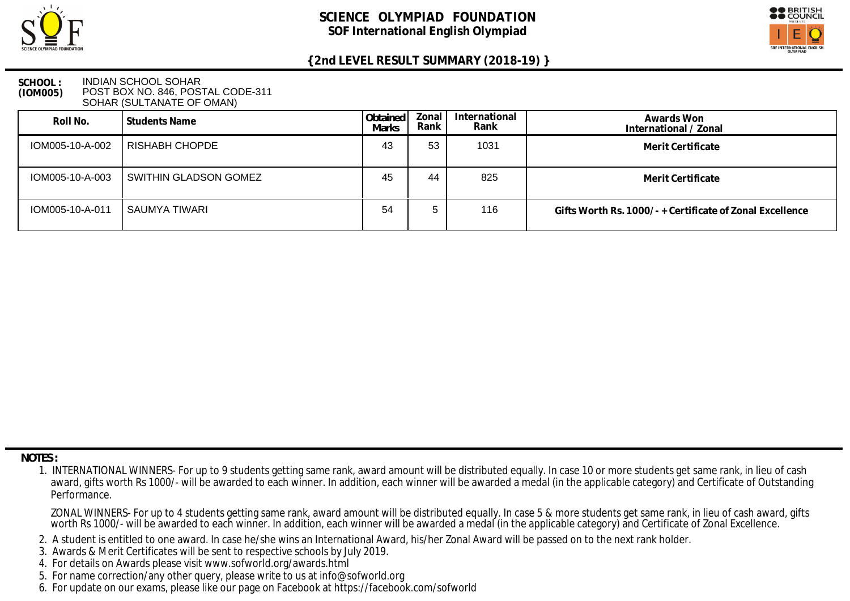



#### **SCHOOL : (IOM005)** INDIAN SCHOOL SOHAR POST BOX NO. 846, POSTAL CODE-311 SOHAR (SULTANATE OF OMAN)

| Roll No.        | Students Name         | Obtained<br><b>Marks</b> | Zonal<br>Rank | International<br>Rank | Awards Won<br>International / Zonal                      |
|-----------------|-----------------------|--------------------------|---------------|-----------------------|----------------------------------------------------------|
| IOM005-10-A-002 | RISHABH CHOPDE        | 43                       | 53            | 1031                  | Merit Certificate                                        |
| IOM005-10-A-003 | SWITHIN GLADSON GOMEZ | 45                       | 44            | 825                   | Merit Certificate                                        |
| IOM005-10-A-011 | SAUMYA TIWARI         | 54                       |               | 116                   | Gifts Worth Rs. 1000/- + Certificate of Zonal Excellence |

 **NOTES :**

- 2. A student is entitled to one award. In case he/she wins an International Award, his/her Zonal Award will be passed on to the next rank holder.
- 3. Awards & Merit Certificates will be sent to respective schools by July 2019.
- 4. For details on Awards please visit www.sofworld.org/awards.html
- 5. For name correction/any other query, please write to us at info@sofworld.org
- 6. For update on our exams, please like our page on Facebook at https://facebook.com/sofworld

 <sup>1.</sup> INTERNATIONAL WINNERS- For up to 9 students getting same rank, award amount will be distributed equally. In case 10 or more students get same rank, in lieu of cash award, gifts worth Rs 1000/- will be awarded to each winner. In addition, each winner will be awarded a medal (in the applicable category) and Certificate of Outstanding Performance.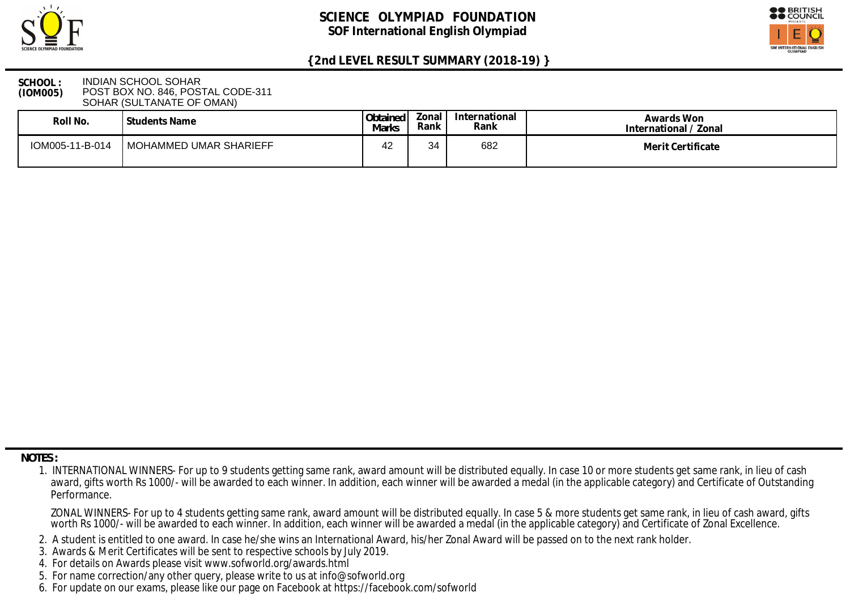



#### **SCHOOL : (IOM005)** INDIAN SCHOOL SOHAR POST BOX NO. 846, POSTAL CODE-311 SOHAR (SULTANATE OF OMAN)

| Roll No.        | Students Name          | Obtained<br>Marks | Zonal<br>Rank | International<br>Rank | Awards Won<br>International / Zonal |
|-----------------|------------------------|-------------------|---------------|-----------------------|-------------------------------------|
| IOM005-11-B-014 | MOHAMMED UMAR SHARIEFF | $\sim$<br>ے 4     | 34            | 682                   | Merit Certificate                   |

 **NOTES :**

- 2. A student is entitled to one award. In case he/she wins an International Award, his/her Zonal Award will be passed on to the next rank holder.
- 3. Awards & Merit Certificates will be sent to respective schools by July 2019.
- 4. For details on Awards please visit www.sofworld.org/awards.html
- 5. For name correction/any other query, please write to us at info@sofworld.org
- 6. For update on our exams, please like our page on Facebook at https://facebook.com/sofworld

 <sup>1.</sup> INTERNATIONAL WINNERS- For up to 9 students getting same rank, award amount will be distributed equally. In case 10 or more students get same rank, in lieu of cash award, gifts worth Rs 1000/- will be awarded to each winner. In addition, each winner will be awarded a medal (in the applicable category) and Certificate of Outstanding Performance.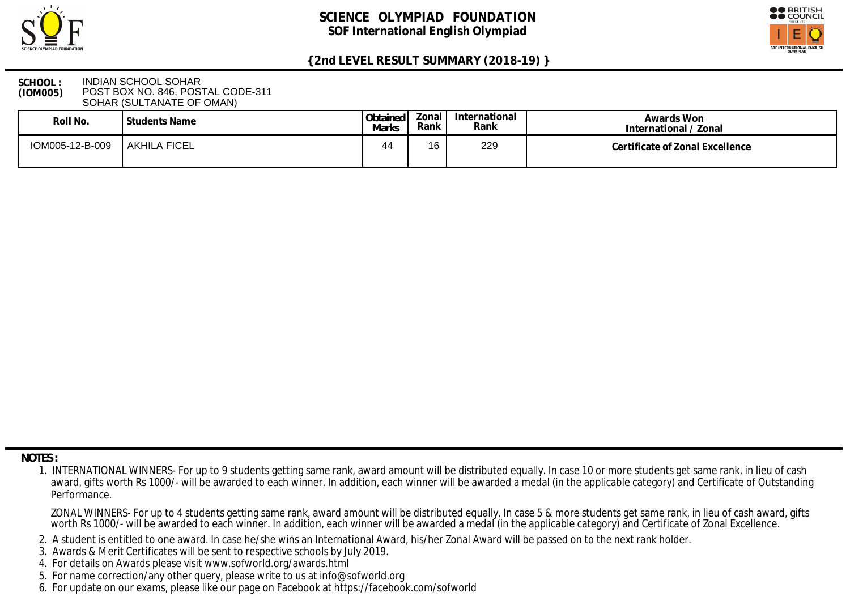



### **SCHOOL : (IOM005)** INDIAN SCHOOL SOHAR POST BOX NO. 846, POSTAL CODE-311 SOHAR (SULTANATE OF OMAN)

| Roll No.        | l Students Name     | Obtained<br>Marks | Zonal i<br>Rank | International<br>Rank | Awards Won<br>International / Zonal |
|-----------------|---------------------|-------------------|-----------------|-----------------------|-------------------------------------|
| IOM005-12-B-009 | <b>AKHILA FICEL</b> | 44                | 16              | 229                   | Certificate of Zonal Excellence     |

 **NOTES :**

- 2. A student is entitled to one award. In case he/she wins an International Award, his/her Zonal Award will be passed on to the next rank holder.
- 3. Awards & Merit Certificates will be sent to respective schools by July 2019.
- 4. For details on Awards please visit www.sofworld.org/awards.html
- 5. For name correction/any other query, please write to us at info@sofworld.org
- 6. For update on our exams, please like our page on Facebook at https://facebook.com/sofworld

 <sup>1.</sup> INTERNATIONAL WINNERS- For up to 9 students getting same rank, award amount will be distributed equally. In case 10 or more students get same rank, in lieu of cash award, gifts worth Rs 1000/- will be awarded to each winner. In addition, each winner will be awarded a medal (in the applicable category) and Certificate of Outstanding Performance.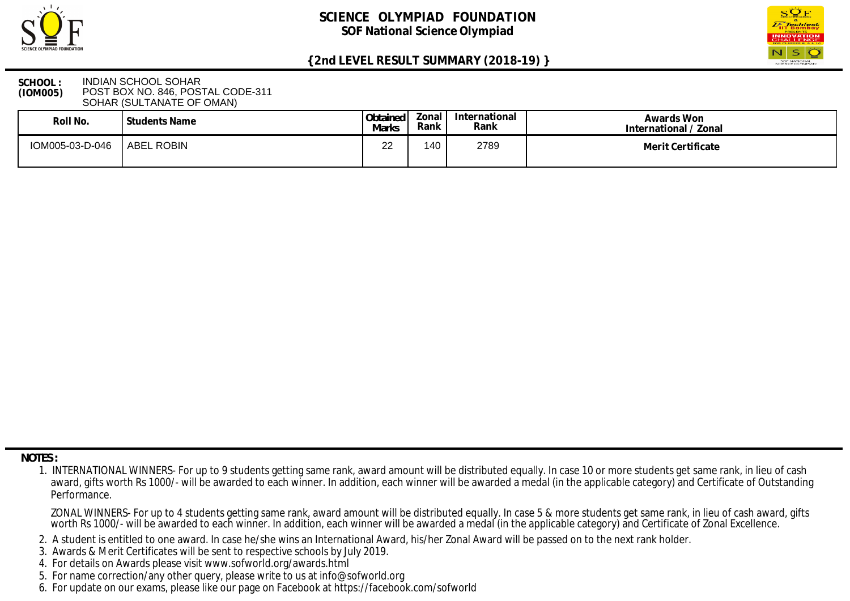



### **SCHOOL : (IOM005)** INDIAN SCHOOL SOHAR POST BOX NO. 846, POSTAL CODE-311 SOHAR (SULTANATE OF OMAN)

| Roll No.        | Students Name     | Obtained<br><b>Marks</b> | Zonal<br>Rank | International<br>Rank | Awards Won<br>International / Zonal |
|-----------------|-------------------|--------------------------|---------------|-----------------------|-------------------------------------|
| IOM005-03-D-046 | <b>ABEL ROBIN</b> | ററ<br><u>__</u>          | 140           | 2789                  | Merit Certificate                   |

 **NOTES :**

- 2. A student is entitled to one award. In case he/she wins an International Award, his/her Zonal Award will be passed on to the next rank holder.
- 3. Awards & Merit Certificates will be sent to respective schools by July 2019.
- 4. For details on Awards please visit www.sofworld.org/awards.html
- 5. For name correction/any other query, please write to us at info@sofworld.org
- 6. For update on our exams, please like our page on Facebook at https://facebook.com/sofworld

 <sup>1.</sup> INTERNATIONAL WINNERS- For up to 9 students getting same rank, award amount will be distributed equally. In case 10 or more students get same rank, in lieu of cash award, gifts worth Rs 1000/- will be awarded to each winner. In addition, each winner will be awarded a medal (in the applicable category) and Certificate of Outstanding Performance.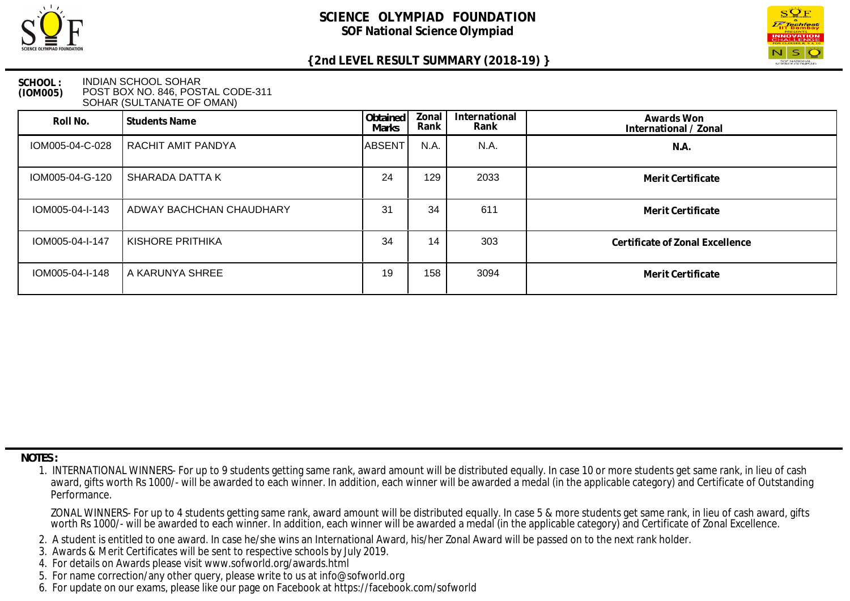



#### **SCHOOL : (IOM005)** INDIAN SCHOOL SOHAR POST BOX NO. 846, POSTAL CODE-311 SOHAR (SULTANATE OF OMAN)

| Roll No.        | <b>Students Name</b>     | Obtained<br><b>Marks</b> | Zonal<br>Rank | International<br>Rank | Awards Won<br>International / Zonal |
|-----------------|--------------------------|--------------------------|---------------|-----------------------|-------------------------------------|
| IOM005-04-C-028 | RACHIT AMIT PANDYA       | <b>ABSENT</b>            | N.A.          | N.A.                  | N.A.                                |
| IOM005-04-G-120 | SHARADA DATTA K          | 24                       | 129           | 2033                  | Merit Certificate                   |
| IOM005-04-I-143 | ADWAY BACHCHAN CHAUDHARY | 31                       | 34            | 611                   | Merit Certificate                   |
| IOM005-04-I-147 | KISHORE PRITHIKA         | 34                       | 14            | 303                   | Certificate of Zonal Excellence     |
| IOM005-04-I-148 | A KARUNYA SHREE          | 19                       | 158           | 3094                  | Merit Certificate                   |

 **NOTES :**

- 2. A student is entitled to one award. In case he/she wins an International Award, his/her Zonal Award will be passed on to the next rank holder.
- 3. Awards & Merit Certificates will be sent to respective schools by July 2019.
- 4. For details on Awards please visit www.sofworld.org/awards.html
- 5. For name correction/any other query, please write to us at info@sofworld.org
- 6. For update on our exams, please like our page on Facebook at https://facebook.com/sofworld

 <sup>1.</sup> INTERNATIONAL WINNERS- For up to 9 students getting same rank, award amount will be distributed equally. In case 10 or more students get same rank, in lieu of cash award, gifts worth Rs 1000/- will be awarded to each winner. In addition, each winner will be awarded a medal (in the applicable category) and Certificate of Outstanding Performance.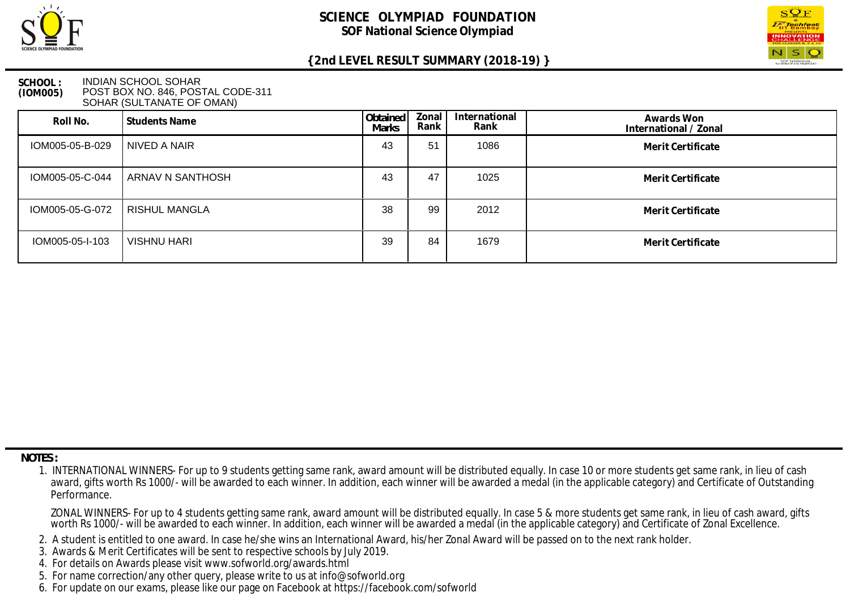



### **SCHOOL : (IOM005)** INDIAN SCHOOL SOHAR POST BOX NO. 846, POSTAL CODE-311 SOHAR (SULTANATE OF OMAN)

| Roll No.        | Students Name      | Obtained<br>Marks | Zonal<br>Rank | International<br>Rank | Awards Won<br>International / Zonal |
|-----------------|--------------------|-------------------|---------------|-----------------------|-------------------------------------|
| IOM005-05-B-029 | NIVED A NAIR       | 43                | 51            | 1086                  | Merit Certificate                   |
| IOM005-05-C-044 | ARNAV N SANTHOSH   | 43                | 47            | 1025                  | Merit Certificate                   |
| IOM005-05-G-072 | RISHUL MANGLA      | 38                | 99            | 2012                  | Merit Certificate                   |
| IOM005-05-I-103 | <b>VISHNU HARI</b> | 39                | 84            | 1679                  | Merit Certificate                   |

 **NOTES :**

- 2. A student is entitled to one award. In case he/she wins an International Award, his/her Zonal Award will be passed on to the next rank holder.
- 3. Awards & Merit Certificates will be sent to respective schools by July 2019.
- 4. For details on Awards please visit www.sofworld.org/awards.html
- 5. For name correction/any other query, please write to us at info@sofworld.org
- 6. For update on our exams, please like our page on Facebook at https://facebook.com/sofworld

 <sup>1.</sup> INTERNATIONAL WINNERS- For up to 9 students getting same rank, award amount will be distributed equally. In case 10 or more students get same rank, in lieu of cash award, gifts worth Rs 1000/- will be awarded to each winner. In addition, each winner will be awarded a medal (in the applicable category) and Certificate of Outstanding Performance.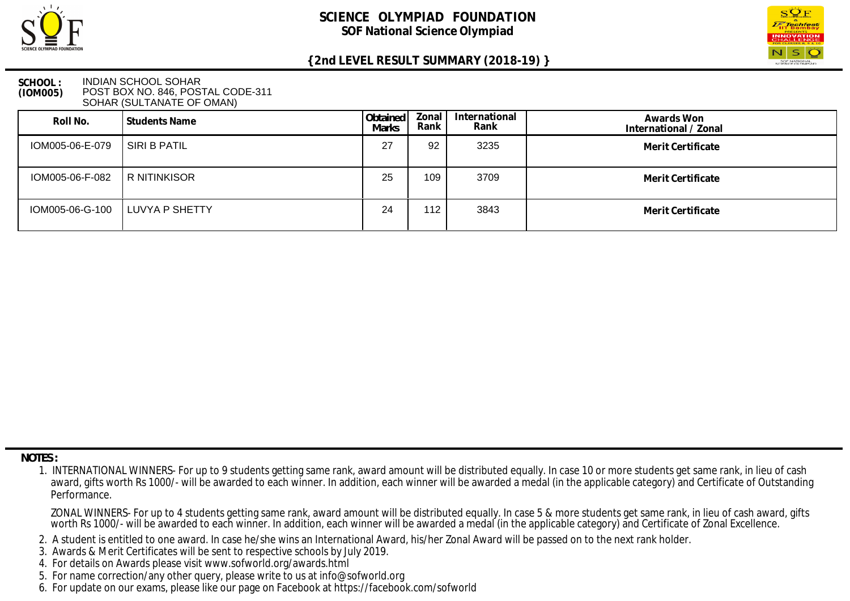



### **SCHOOL : (IOM005)** INDIAN SCHOOL SOHAR POST BOX NO. 846, POSTAL CODE-311 SOHAR (SULTANATE OF OMAN)

| Roll No.        | l Students Name  | Obtained<br><b>Marks</b> | Zonal<br>Rank | International<br>Rank | Awards Won<br>International / Zonal |
|-----------------|------------------|--------------------------|---------------|-----------------------|-------------------------------------|
| IOM005-06-E-079 | I SIRI B PATIL   | 27                       | 92            | 3235                  | Merit Certificate                   |
| IOM005-06-F-082 | R NITINKISOR     | 25                       | 109           | 3709                  | Merit Certificate                   |
| IOM005-06-G-100 | I LUVYA P SHETTY | 24                       | 112           | 3843                  | Merit Certificate                   |

 **NOTES :**

- 2. A student is entitled to one award. In case he/she wins an International Award, his/her Zonal Award will be passed on to the next rank holder.
- 3. Awards & Merit Certificates will be sent to respective schools by July 2019.
- 4. For details on Awards please visit www.sofworld.org/awards.html
- 5. For name correction/any other query, please write to us at info@sofworld.org
- 6. For update on our exams, please like our page on Facebook at https://facebook.com/sofworld

 <sup>1.</sup> INTERNATIONAL WINNERS- For up to 9 students getting same rank, award amount will be distributed equally. In case 10 or more students get same rank, in lieu of cash award, gifts worth Rs 1000/- will be awarded to each winner. In addition, each winner will be awarded a medal (in the applicable category) and Certificate of Outstanding Performance.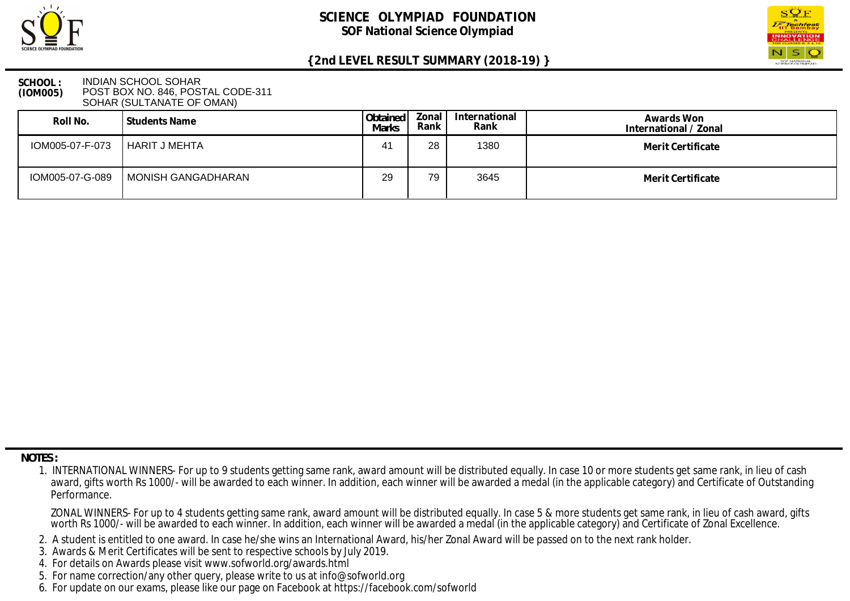



### **SCHOOL : (IOM005)** INDIAN SCHOOL SOHAR POST BOX NO. 846, POSTAL CODE-311 SOHAR (SULTANATE OF OMAN)

| Roll No.        | l Students Name    | Obtained<br><b>Marks</b> | Zonal  <br>Rank I | International<br>Rank | Awards Won<br>International / Zonal |
|-----------------|--------------------|--------------------------|-------------------|-----------------------|-------------------------------------|
| IOM005-07-F-073 | HARIT J MEHTA      | 41                       | 28                | 1380                  | Merit Certificate                   |
| IOM005-07-G-089 | MONISH GANGADHARAN | 29                       | 79                | 3645                  | Merit Certificate                   |

 **NOTES :**

- 2. A student is entitled to one award. In case he/she wins an International Award, his/her Zonal Award will be passed on to the next rank holder.
- 3. Awards & Merit Certificates will be sent to respective schools by July 2019.
- 4. For details on Awards please visit www.sofworld.org/awards.html
- 5. For name correction/any other query, please write to us at info@sofworld.org
- 6. For update on our exams, please like our page on Facebook at https://facebook.com/sofworld

 <sup>1.</sup> INTERNATIONAL WINNERS- For up to 9 students getting same rank, award amount will be distributed equally. In case 10 or more students get same rank, in lieu of cash award, gifts worth Rs 1000/- will be awarded to each winner. In addition, each winner will be awarded a medal (in the applicable category) and Certificate of Outstanding Performance.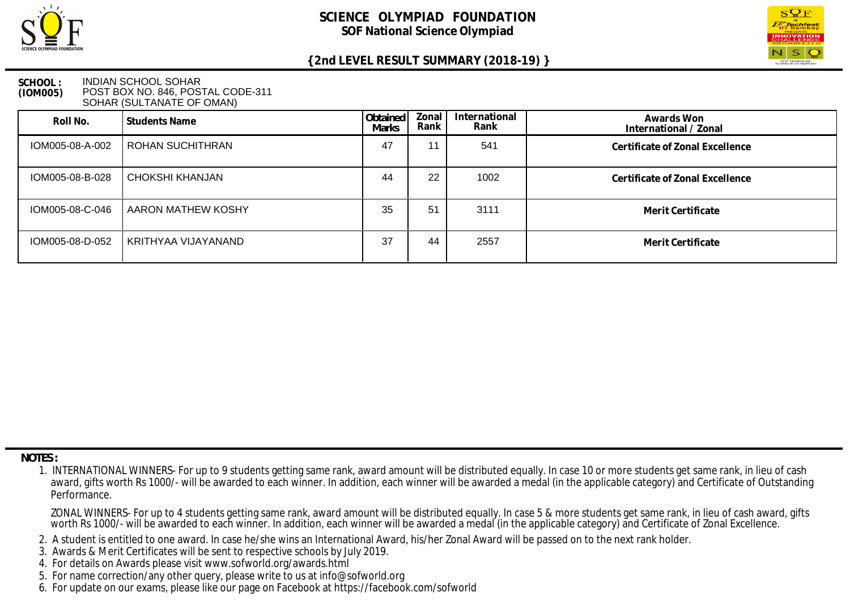



#### **SCHOOL : (IOM005)** INDIAN SCHOOL SOHAR POST BOX NO. 846, POSTAL CODE-311 SOHAR (SULTANATE OF OMAN)

| Roll No.        | Students Name       | Obtained<br><b>Marks</b> | Zonal<br>Rank | International<br>Rank | Awards Won<br>International / Zonal |
|-----------------|---------------------|--------------------------|---------------|-----------------------|-------------------------------------|
| IOM005-08-A-002 | ROHAN SUCHITHRAN    | 47                       | 11            | 541                   | Certificate of Zonal Excellence     |
| IOM005-08-B-028 | CHOKSHI KHANJAN     | 44                       | 22            | 1002                  | Certificate of Zonal Excellence     |
| IOM005-08-C-046 | AARON MATHEW KOSHY  | 35                       | 51            | 3111                  | Merit Certificate                   |
| IOM005-08-D-052 | KRITHYAA VIJAYANAND | 37                       | 44            | 2557                  | Merit Certificate                   |

 **NOTES :**

- 2. A student is entitled to one award. In case he/she wins an International Award, his/her Zonal Award will be passed on to the next rank holder.
- 3. Awards & Merit Certificates will be sent to respective schools by July 2019.
- 4. For details on Awards please visit www.sofworld.org/awards.html
- 5. For name correction/any other query, please write to us at info@sofworld.org
- 6. For update on our exams, please like our page on Facebook at https://facebook.com/sofworld

 <sup>1.</sup> INTERNATIONAL WINNERS- For up to 9 students getting same rank, award amount will be distributed equally. In case 10 or more students get same rank, in lieu of cash award, gifts worth Rs 1000/- will be awarded to each winner. In addition, each winner will be awarded a medal (in the applicable category) and Certificate of Outstanding Performance.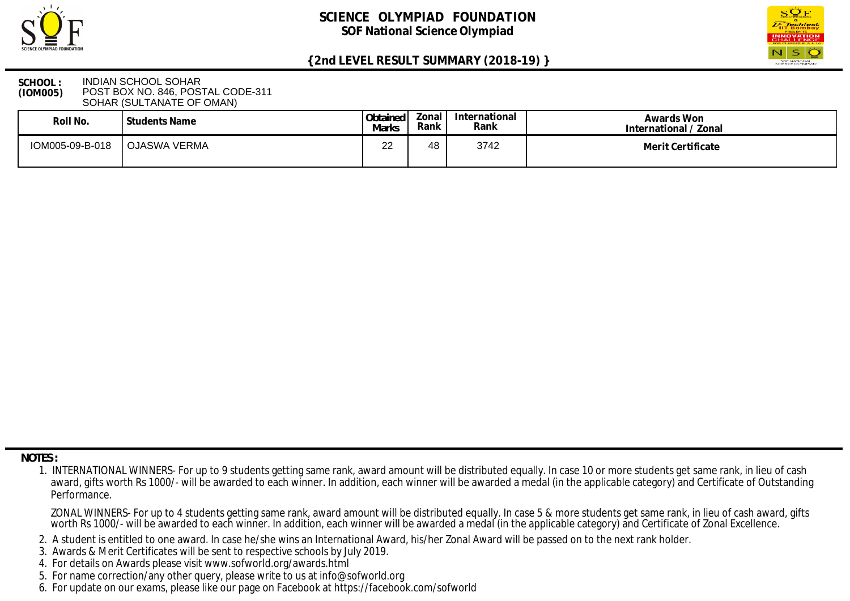



### **SCHOOL : (IOM005)** INDIAN SCHOOL SOHAR POST BOX NO. 846, POSTAL CODE-311 SOHAR (SULTANATE OF OMAN)

| Roll No.        | Students Name | Obtained<br><b>Marks</b> | Zonal<br>Rank | International<br>Rank | Awards Won<br>International / Zonal |
|-----------------|---------------|--------------------------|---------------|-----------------------|-------------------------------------|
| IOM005-09-B-018 | OJASWA VERMA  | nn<br><u>__</u>          | 48            | 3742                  | Merit Certificate                   |

 **NOTES :**

- 2. A student is entitled to one award. In case he/she wins an International Award, his/her Zonal Award will be passed on to the next rank holder.
- 3. Awards & Merit Certificates will be sent to respective schools by July 2019.
- 4. For details on Awards please visit www.sofworld.org/awards.html
- 5. For name correction/any other query, please write to us at info@sofworld.org
- 6. For update on our exams, please like our page on Facebook at https://facebook.com/sofworld

 <sup>1.</sup> INTERNATIONAL WINNERS- For up to 9 students getting same rank, award amount will be distributed equally. In case 10 or more students get same rank, in lieu of cash award, gifts worth Rs 1000/- will be awarded to each winner. In addition, each winner will be awarded a medal (in the applicable category) and Certificate of Outstanding Performance.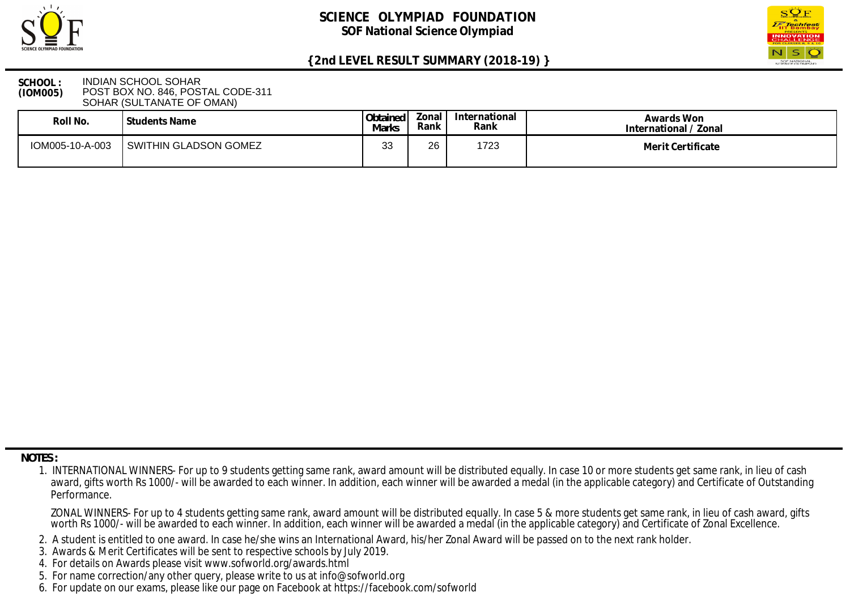



#### **SCHOOL : (IOM005)** INDIAN SCHOOL SOHAR POST BOX NO. 846, POSTAL CODE-311 SOHAR (SULTANATE OF OMAN)

| Roll No.        | Students Name         | Obtained<br>Marks | Zonal<br>Rank | International<br>Rank | Awards Won<br>International / Zonal |
|-----------------|-----------------------|-------------------|---------------|-----------------------|-------------------------------------|
| IOM005-10-A-003 | SWITHIN GLADSON GOMEZ | $\sim$<br>ບບ      | $\sim$<br>∠ס  | 1723                  | Merit Certificate                   |

 **NOTES :**

- 2. A student is entitled to one award. In case he/she wins an International Award, his/her Zonal Award will be passed on to the next rank holder.
- 3. Awards & Merit Certificates will be sent to respective schools by July 2019.
- 4. For details on Awards please visit www.sofworld.org/awards.html
- 5. For name correction/any other query, please write to us at info@sofworld.org
- 6. For update on our exams, please like our page on Facebook at https://facebook.com/sofworld

 <sup>1.</sup> INTERNATIONAL WINNERS- For up to 9 students getting same rank, award amount will be distributed equally. In case 10 or more students get same rank, in lieu of cash award, gifts worth Rs 1000/- will be awarded to each winner. In addition, each winner will be awarded a medal (in the applicable category) and Certificate of Outstanding Performance.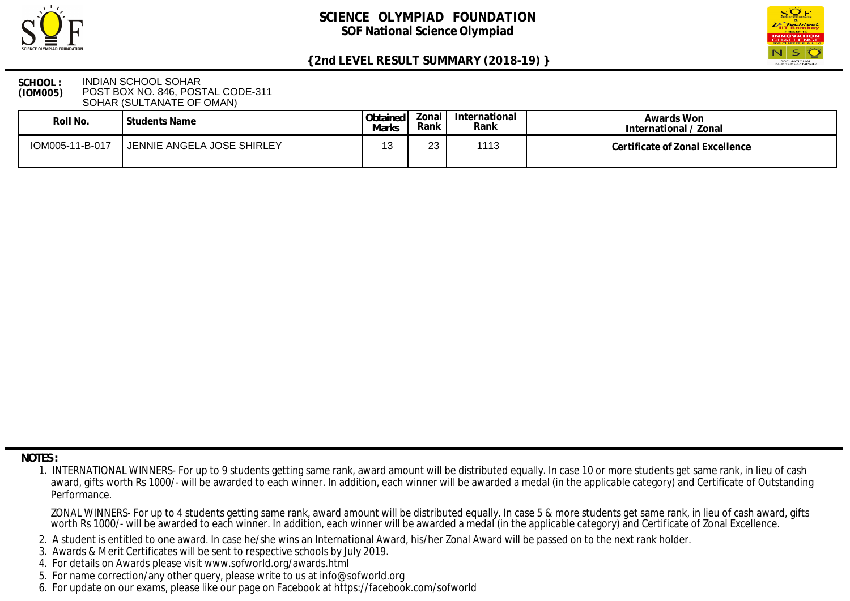



#### **SCHOOL : (IOM005)** INDIAN SCHOOL SOHAR POST BOX NO. 846, POSTAL CODE-311 SOHAR (SULTANATE OF OMAN)

| Roll No.        | <b>Students Name</b>       | Obtained<br>Marks | Zonal<br>Rank | International<br>Rank | Awards Won<br>International / Zonal |
|-----------------|----------------------------|-------------------|---------------|-----------------------|-------------------------------------|
| IOM005-11-B-017 | JENNIE ANGELA JOSE SHIRLEY |                   | റാ<br>ںے      | 1112                  | Certificate of Zonal Excellence     |

 **NOTES :**

- 2. A student is entitled to one award. In case he/she wins an International Award, his/her Zonal Award will be passed on to the next rank holder.
- 3. Awards & Merit Certificates will be sent to respective schools by July 2019.
- 4. For details on Awards please visit www.sofworld.org/awards.html
- 5. For name correction/any other query, please write to us at info@sofworld.org
- 6. For update on our exams, please like our page on Facebook at https://facebook.com/sofworld

 <sup>1.</sup> INTERNATIONAL WINNERS- For up to 9 students getting same rank, award amount will be distributed equally. In case 10 or more students get same rank, in lieu of cash award, gifts worth Rs 1000/- will be awarded to each winner. In addition, each winner will be awarded a medal (in the applicable category) and Certificate of Outstanding Performance.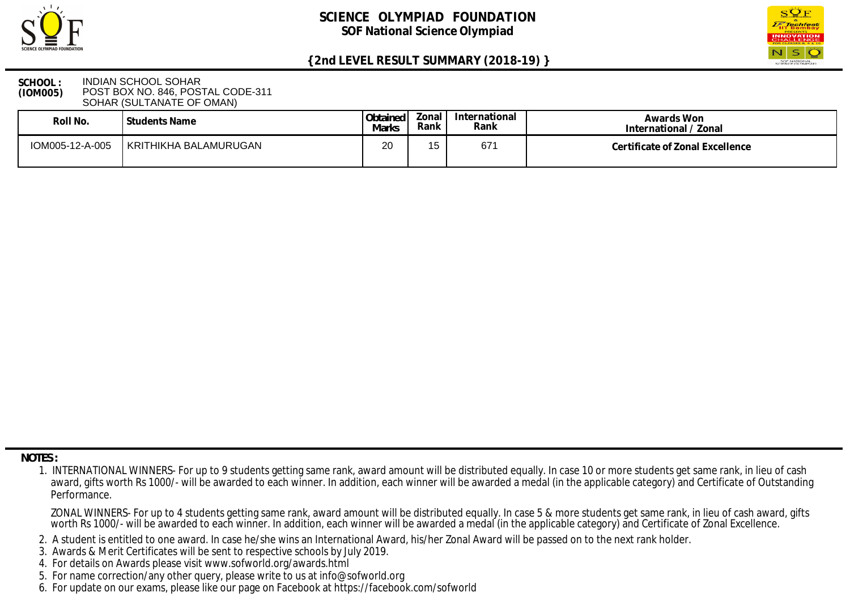



#### **SCHOOL : (IOM005)** INDIAN SCHOOL SOHAR POST BOX NO. 846, POSTAL CODE-311 SOHAR (SULTANATE OF OMAN)

| Roll No.        | Students Name         | Obtained<br>Marks | Ional<br>Rank | International<br>Rank | Awards Won<br>International / Zonal |
|-----------------|-----------------------|-------------------|---------------|-----------------------|-------------------------------------|
| IOM005-12-A-005 | KRITHIKHA BALAMURUGAN | 20                | 15            | 67'                   | Certificate of Zonal Excellence     |

 **NOTES :**

- 2. A student is entitled to one award. In case he/she wins an International Award, his/her Zonal Award will be passed on to the next rank holder.
- 3. Awards & Merit Certificates will be sent to respective schools by July 2019.
- 4. For details on Awards please visit www.sofworld.org/awards.html
- 5. For name correction/any other query, please write to us at info@sofworld.org
- 6. For update on our exams, please like our page on Facebook at https://facebook.com/sofworld

 <sup>1.</sup> INTERNATIONAL WINNERS- For up to 9 students getting same rank, award amount will be distributed equally. In case 10 or more students get same rank, in lieu of cash award, gifts worth Rs 1000/- will be awarded to each winner. In addition, each winner will be awarded a medal (in the applicable category) and Certificate of Outstanding Performance.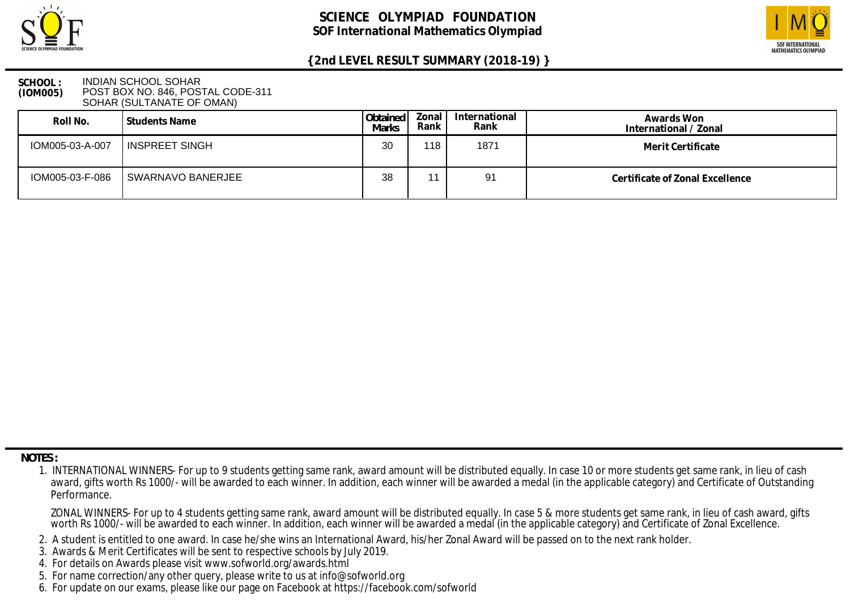



### **SCHOOL : (IOM005)** INDIAN SCHOOL SOHAR POST BOX NO. 846, POSTAL CODE-311 SOHAR (SULTANATE OF OMAN)

| Roll No.        | Students Name     | Obtained<br><b>Marks</b> | Zonal I<br>Rank | International<br>Rank | Awards Won<br>International / Zonal |
|-----------------|-------------------|--------------------------|-----------------|-----------------------|-------------------------------------|
| IOM005-03-A-007 | I INSPREET SINGH  | 30                       | $118$ ,         | 1871                  | Merit Certificate                   |
| IOM005-03-F-086 | SWARNAVO BANERJEE | 38                       |                 | 91                    | Certificate of Zonal Excellence     |

 **NOTES :**

- 2. A student is entitled to one award. In case he/she wins an International Award, his/her Zonal Award will be passed on to the next rank holder.
- 3. Awards & Merit Certificates will be sent to respective schools by July 2019.
- 4. For details on Awards please visit www.sofworld.org/awards.html
- 5. For name correction/any other query, please write to us at info@sofworld.org
- 6. For update on our exams, please like our page on Facebook at https://facebook.com/sofworld

 <sup>1.</sup> INTERNATIONAL WINNERS- For up to 9 students getting same rank, award amount will be distributed equally. In case 10 or more students get same rank, in lieu of cash award, gifts worth Rs 1000/- will be awarded to each winner. In addition, each winner will be awarded a medal (in the applicable category) and Certificate of Outstanding Performance.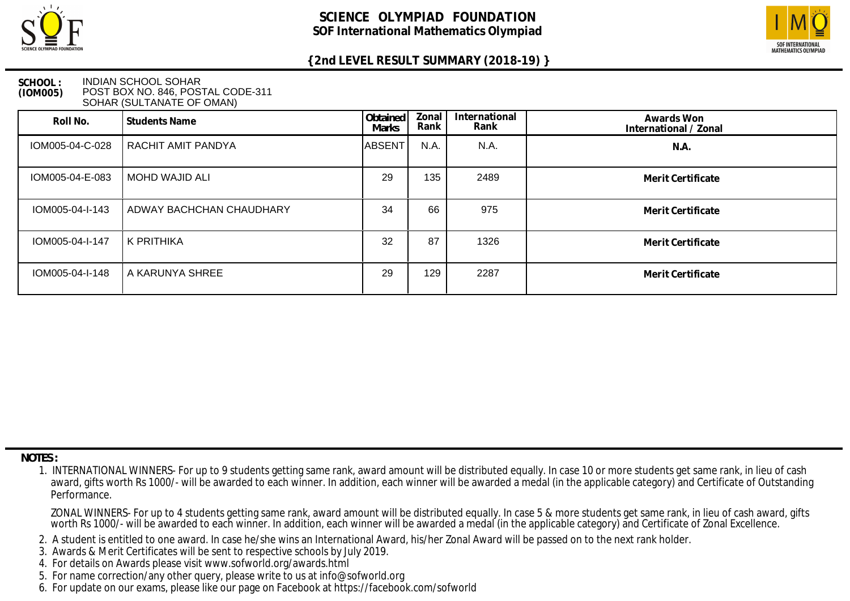



### **SCHOOL : (IOM005)** INDIAN SCHOOL SOHAR POST BOX NO. 846, POSTAL CODE-311 SOHAR (SULTANATE OF OMAN)

| Roll No.        | Students Name            | Obtained<br><b>Marks</b> | Zonal<br>Rank | International<br>Rank | Awards Won<br>International / Zonal |
|-----------------|--------------------------|--------------------------|---------------|-----------------------|-------------------------------------|
| IOM005-04-C-028 | RACHIT AMIT PANDYA       | ABSENT                   | N.A.          | N.A.                  | N.A.                                |
| IOM005-04-E-083 | MOHD WAJID ALI           | 29                       | 135           | 2489                  | Merit Certificate                   |
| IOM005-04-I-143 | ADWAY BACHCHAN CHAUDHARY | 34                       | 66            | 975                   | Merit Certificate                   |
| IOM005-04-I-147 | K PRITHIKA               | 32                       | 87            | 1326                  | Merit Certificate                   |
| IOM005-04-I-148 | A KARUNYA SHREE          | 29                       | 129           | 2287                  | Merit Certificate                   |

 **NOTES :**

- 2. A student is entitled to one award. In case he/she wins an International Award, his/her Zonal Award will be passed on to the next rank holder.
- 3. Awards & Merit Certificates will be sent to respective schools by July 2019.
- 4. For details on Awards please visit www.sofworld.org/awards.html
- 5. For name correction/any other query, please write to us at info@sofworld.org
- 6. For update on our exams, please like our page on Facebook at https://facebook.com/sofworld

 <sup>1.</sup> INTERNATIONAL WINNERS- For up to 9 students getting same rank, award amount will be distributed equally. In case 10 or more students get same rank, in lieu of cash award, gifts worth Rs 1000/- will be awarded to each winner. In addition, each winner will be awarded a medal (in the applicable category) and Certificate of Outstanding Performance.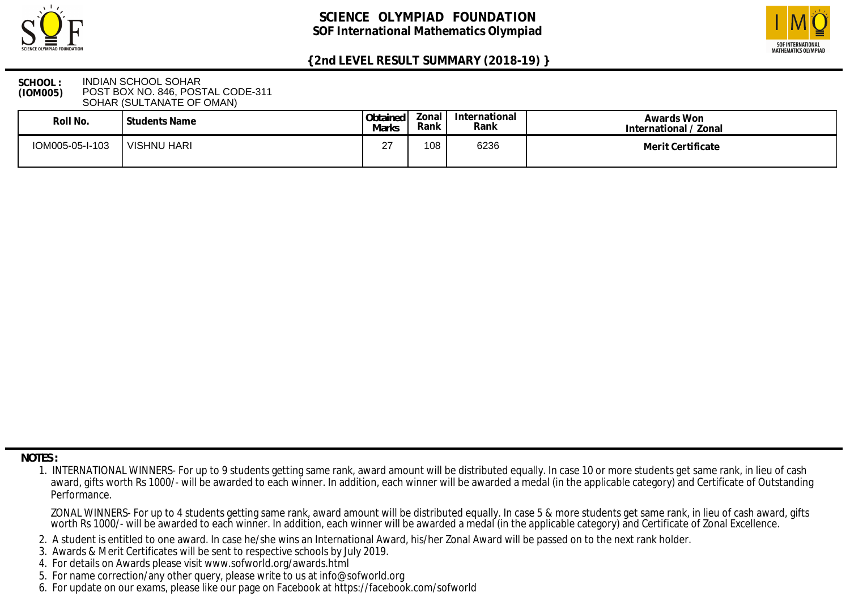



### **SCHOOL : (IOM005)** INDIAN SCHOOL SOHAR POST BOX NO. 846, POSTAL CODE-311 SOHAR (SULTANATE OF OMAN)

| Roll No.        | l Students Name | Obtained<br>Marks | onal'<br>Rank | International<br>Rank | Awards Won<br>International / Zonal |
|-----------------|-----------------|-------------------|---------------|-----------------------|-------------------------------------|
| IOM005-05-I-103 | VISHNU HARI     | ົ<br><u>.</u>     | 108           | 6236                  | Merit Certificate                   |

 **NOTES :**

- 2. A student is entitled to one award. In case he/she wins an International Award, his/her Zonal Award will be passed on to the next rank holder.
- 3. Awards & Merit Certificates will be sent to respective schools by July 2019.
- 4. For details on Awards please visit www.sofworld.org/awards.html
- 5. For name correction/any other query, please write to us at info@sofworld.org
- 6. For update on our exams, please like our page on Facebook at https://facebook.com/sofworld

 <sup>1.</sup> INTERNATIONAL WINNERS- For up to 9 students getting same rank, award amount will be distributed equally. In case 10 or more students get same rank, in lieu of cash award, gifts worth Rs 1000/- will be awarded to each winner. In addition, each winner will be awarded a medal (in the applicable category) and Certificate of Outstanding Performance.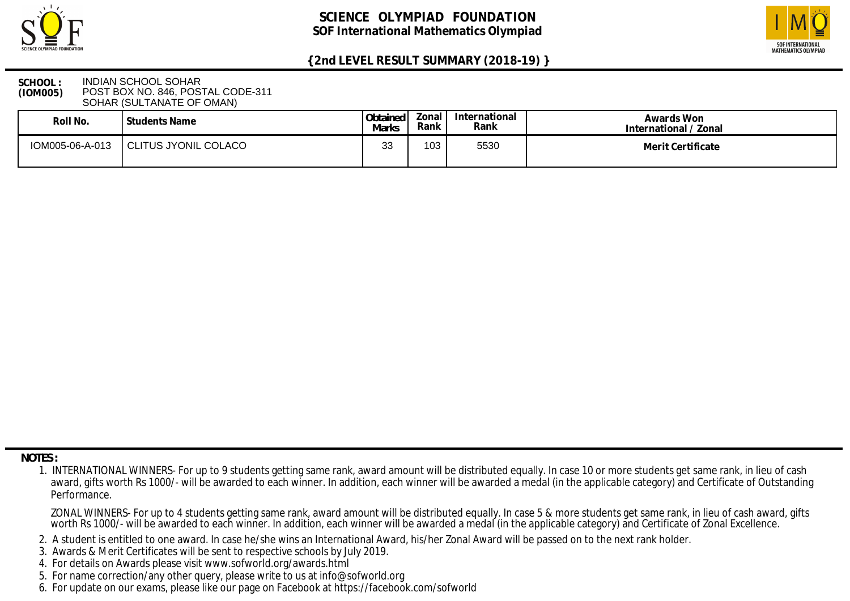



### **SCHOOL : (IOM005)** INDIAN SCHOOL SOHAR POST BOX NO. 846, POSTAL CODE-311 SOHAR (SULTANATE OF OMAN)

| Roll No.        | l Students Name      | Obtained<br>Marks | onal!<br>Rank | International<br>Rank | Awards Won<br>International / Zonal |
|-----------------|----------------------|-------------------|---------------|-----------------------|-------------------------------------|
| IOM005-06-A-013 | CLITUS JYONIL COLACO | າເ<br>نٽ          | 103           | 5530                  | Merit Certificate                   |

 **NOTES :**

- 2. A student is entitled to one award. In case he/she wins an International Award, his/her Zonal Award will be passed on to the next rank holder.
- 3. Awards & Merit Certificates will be sent to respective schools by July 2019.
- 4. For details on Awards please visit www.sofworld.org/awards.html
- 5. For name correction/any other query, please write to us at info@sofworld.org
- 6. For update on our exams, please like our page on Facebook at https://facebook.com/sofworld

 <sup>1.</sup> INTERNATIONAL WINNERS- For up to 9 students getting same rank, award amount will be distributed equally. In case 10 or more students get same rank, in lieu of cash award, gifts worth Rs 1000/- will be awarded to each winner. In addition, each winner will be awarded a medal (in the applicable category) and Certificate of Outstanding Performance.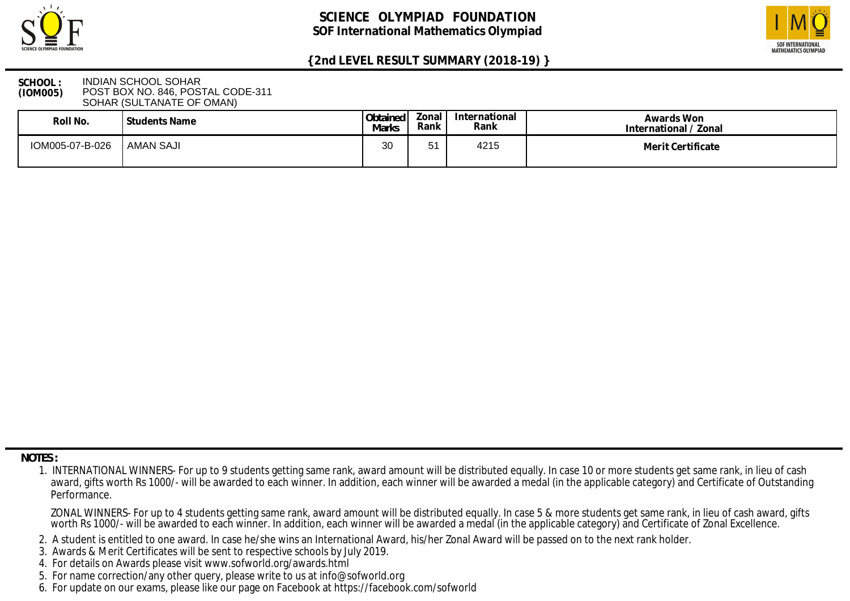



### **SCHOOL : (IOM005)** INDIAN SCHOOL SOHAR POST BOX NO. 846, POSTAL CODE-311 SOHAR (SULTANATE OF OMAN)

| Roll No.        | l Students Name  | Obtained<br>Marks | Zonal<br>Rank | International<br>Rank | Awards Won<br>International / Zonal |
|-----------------|------------------|-------------------|---------------|-----------------------|-------------------------------------|
| IOM005-07-B-026 | <b>AMAN SAJI</b> | 3 <sub>C</sub>    |               | 4215                  | Merit Certificate                   |

 **NOTES :**

- 2. A student is entitled to one award. In case he/she wins an International Award, his/her Zonal Award will be passed on to the next rank holder.
- 3. Awards & Merit Certificates will be sent to respective schools by July 2019.
- 4. For details on Awards please visit www.sofworld.org/awards.html
- 5. For name correction/any other query, please write to us at info@sofworld.org
- 6. For update on our exams, please like our page on Facebook at https://facebook.com/sofworld

 <sup>1.</sup> INTERNATIONAL WINNERS- For up to 9 students getting same rank, award amount will be distributed equally. In case 10 or more students get same rank, in lieu of cash award, gifts worth Rs 1000/- will be awarded to each winner. In addition, each winner will be awarded a medal (in the applicable category) and Certificate of Outstanding Performance.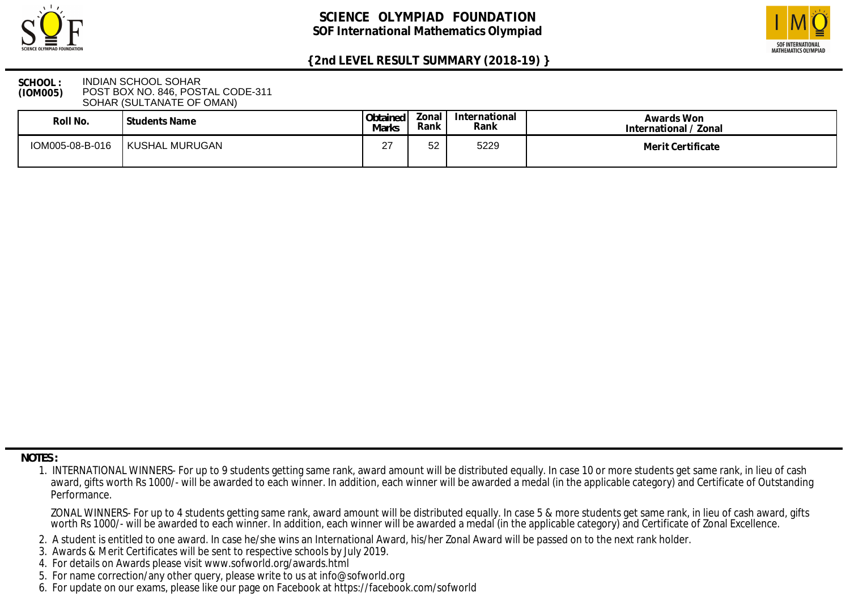



### **SCHOOL : (IOM005)** INDIAN SCHOOL SOHAR POST BOX NO. 846, POSTAL CODE-311 SOHAR (SULTANATE OF OMAN)

| Roll No.        | Students Name  | Obtained<br>Marks | Zonal<br>Rank | International<br>Rank | Awards Won<br>International / Zonal |
|-----------------|----------------|-------------------|---------------|-----------------------|-------------------------------------|
| IOM005-08-B-016 | KUSHAL MURUGAN | ∩¬<br><u>_</u>    | 52            | 5229                  | Merit Certificate                   |

 **NOTES :**

- 2. A student is entitled to one award. In case he/she wins an International Award, his/her Zonal Award will be passed on to the next rank holder.
- 3. Awards & Merit Certificates will be sent to respective schools by July 2019.
- 4. For details on Awards please visit www.sofworld.org/awards.html
- 5. For name correction/any other query, please write to us at info@sofworld.org
- 6. For update on our exams, please like our page on Facebook at https://facebook.com/sofworld

 <sup>1.</sup> INTERNATIONAL WINNERS- For up to 9 students getting same rank, award amount will be distributed equally. In case 10 or more students get same rank, in lieu of cash award, gifts worth Rs 1000/- will be awarded to each winner. In addition, each winner will be awarded a medal (in the applicable category) and Certificate of Outstanding Performance.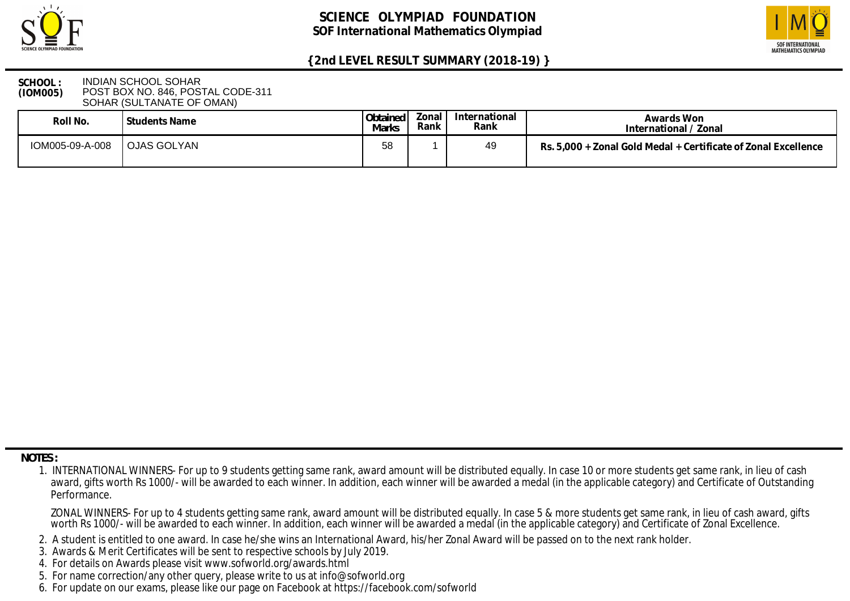



### **SCHOOL : (IOM005)** INDIAN SCHOOL SOHAR POST BOX NO. 846, POSTAL CODE-311 SOHAR (SULTANATE OF OMAN)

| Roll No.        | I Students Name    | Obtained<br>Marks | Zonal<br>Rank | International<br>Rank | Awards Won<br>International / Zonal                            |
|-----------------|--------------------|-------------------|---------------|-----------------------|----------------------------------------------------------------|
| IOM005-09-A-008 | <b>OJAS GOLYAN</b> | 58                |               | 49                    | Rs. 5,000 + Zonal Gold Medal + Certificate of Zonal Excellence |

 **NOTES :**

- 2. A student is entitled to one award. In case he/she wins an International Award, his/her Zonal Award will be passed on to the next rank holder.
- 3. Awards & Merit Certificates will be sent to respective schools by July 2019.
- 4. For details on Awards please visit www.sofworld.org/awards.html
- 5. For name correction/any other query, please write to us at info@sofworld.org
- 6. For update on our exams, please like our page on Facebook at https://facebook.com/sofworld

 <sup>1.</sup> INTERNATIONAL WINNERS- For up to 9 students getting same rank, award amount will be distributed equally. In case 10 or more students get same rank, in lieu of cash award, gifts worth Rs 1000/- will be awarded to each winner. In addition, each winner will be awarded a medal (in the applicable category) and Certificate of Outstanding Performance.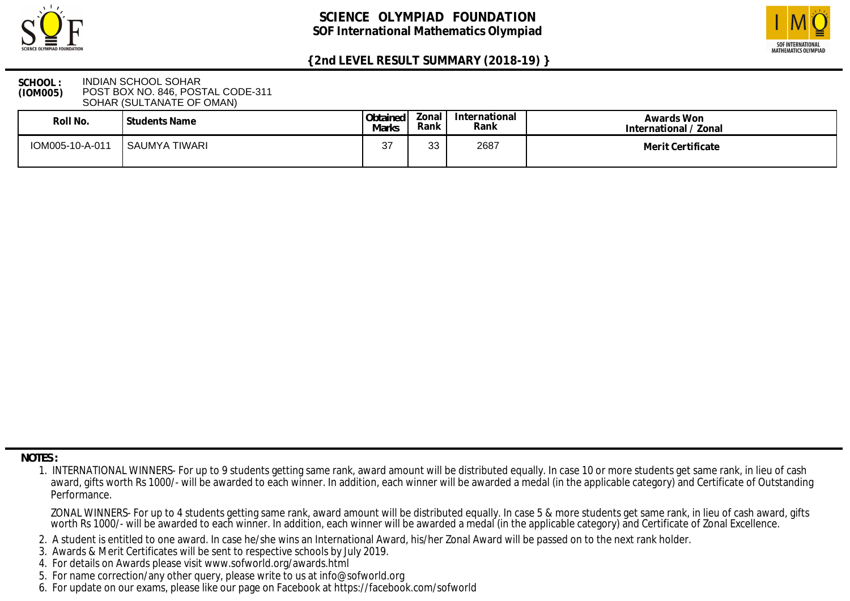



### **SCHOOL : (IOM005)** INDIAN SCHOOL SOHAR POST BOX NO. 846, POSTAL CODE-311 SOHAR (SULTANATE OF OMAN)

| Roll No.        | Students Name | Obtained<br>Marks | Zonal<br>Rank | International<br>Rank | Awards Won<br>International / Zonal |
|-----------------|---------------|-------------------|---------------|-----------------------|-------------------------------------|
| IOM005-10-A-011 | SAUMYA TIWARI | ົ<br>، ب          | วว<br>ບບ      | 2687                  | Merit Certificate                   |

 **NOTES :**

- 2. A student is entitled to one award. In case he/she wins an International Award, his/her Zonal Award will be passed on to the next rank holder.
- 3. Awards & Merit Certificates will be sent to respective schools by July 2019.
- 4. For details on Awards please visit www.sofworld.org/awards.html
- 5. For name correction/any other query, please write to us at info@sofworld.org
- 6. For update on our exams, please like our page on Facebook at https://facebook.com/sofworld

 <sup>1.</sup> INTERNATIONAL WINNERS- For up to 9 students getting same rank, award amount will be distributed equally. In case 10 or more students get same rank, in lieu of cash award, gifts worth Rs 1000/- will be awarded to each winner. In addition, each winner will be awarded a medal (in the applicable category) and Certificate of Outstanding Performance.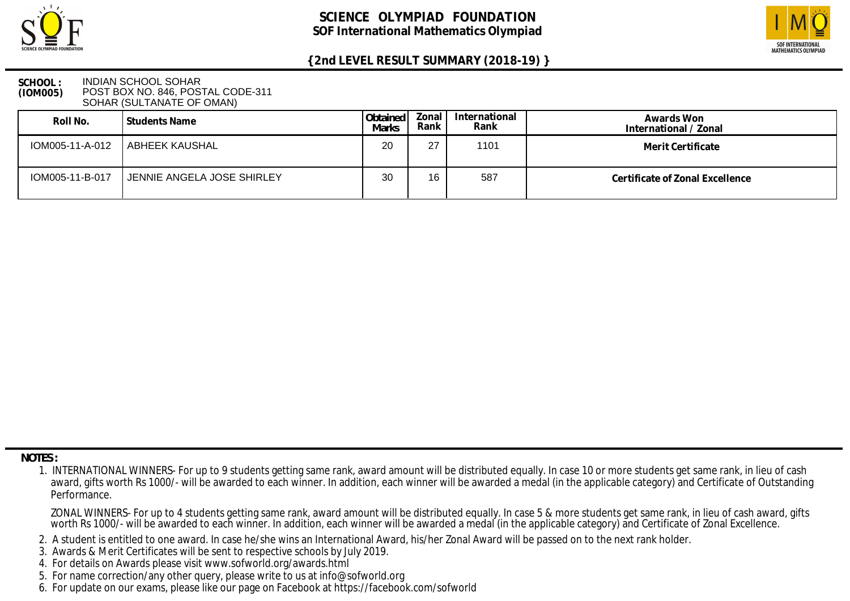



### **SCHOOL : (IOM005)** INDIAN SCHOOL SOHAR POST BOX NO. 846, POSTAL CODE-311 SOHAR (SULTANATE OF OMAN)

| Roll No.        | l Students Name                  | Obtained<br><b>Marks</b> | Zonal I<br>Rank | International<br>Rank | Awards Won<br>International / Zonal |
|-----------------|----------------------------------|--------------------------|-----------------|-----------------------|-------------------------------------|
|                 | IOM005-11-A-012   ABHEEK KAUSHAL | 20                       | 27              | 1101                  | Merit Certificate                   |
| IOM005-11-B-017 | JENNIE ANGELA JOSE SHIRLEY       | 30                       | 16              | 587                   | Certificate of Zonal Excellence     |

 **NOTES :**

- 2. A student is entitled to one award. In case he/she wins an International Award, his/her Zonal Award will be passed on to the next rank holder.
- 3. Awards & Merit Certificates will be sent to respective schools by July 2019.
- 4. For details on Awards please visit www.sofworld.org/awards.html
- 5. For name correction/any other query, please write to us at info@sofworld.org
- 6. For update on our exams, please like our page on Facebook at https://facebook.com/sofworld

 <sup>1.</sup> INTERNATIONAL WINNERS- For up to 9 students getting same rank, award amount will be distributed equally. In case 10 or more students get same rank, in lieu of cash award, gifts worth Rs 1000/- will be awarded to each winner. In addition, each winner will be awarded a medal (in the applicable category) and Certificate of Outstanding Performance.